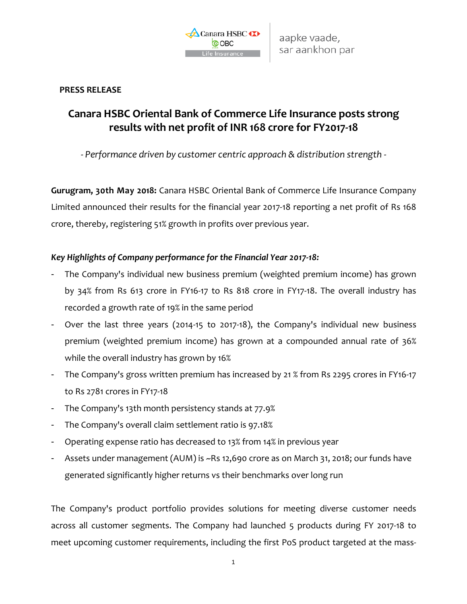

## **PRESS RELEASE**

## **Canara HSBC Oriental Bank of Commerce Life Insurance posts strong results with net profit of INR 168 crore for FY2017-18**

*- Performance driven by customer centric approach & distribution strength -*

**Gurugram, 30th May 2018:** Canara HSBC Oriental Bank of Commerce Life Insurance Company Limited announced their results for the financial year 2017-18 reporting a net profit of Rs 168 crore, thereby, registering 51% growth in profits over previous year.

## *Key Highlights of Company performance for the Financial Year 2017-18:*

- The Company's individual new business premium (weighted premium income) has grown by 34% from Rs 613 crore in FY16-17 to Rs 818 crore in FY17-18. The overall industry has recorded a growth rate of 19% in the same period
- Over the last three years (2014-15 to 2017-18), the Company's individual new business premium (weighted premium income) has grown at a compounded annual rate of 36% while the overall industry has grown by 16%
- The Company's gross written premium has increased by 21 % from Rs 2295 crores in FY16-17 to Rs 2781 crores in FY17-18
- The Company's 13th month persistency stands at 77.9%
- The Company's overall claim settlement ratio is 97.18%
- Operating expense ratio has decreased to 13% from 14% in previous year
- Assets under management (AUM) is ~Rs 12,690 crore as on March 31, 2018; our funds have generated significantly higher returns vs their benchmarks over long run

The Company's product portfolio provides solutions for meeting diverse customer needs across all customer segments. The Company had launched 5 products during FY 2017-18 to meet upcoming customer requirements, including the first PoS product targeted at the mass-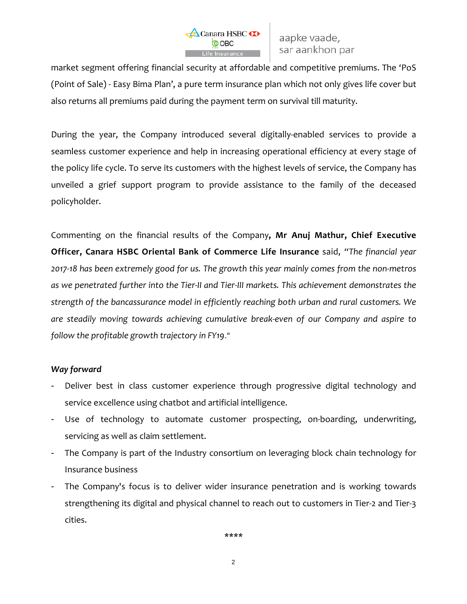

market segment offering financial security at affordable and competitive premiums. The 'PoS (Point of Sale) - Easy Bima Plan', a pure term insurance plan which not only gives life cover but also returns all premiums paid during the payment term on survival till maturity.

During the year, the Company introduced several digitally-enabled services to provide a seamless customer experience and help in increasing operational efficiency at every stage of the policy life cycle. To serve its customers with the highest levels of service, the Company has unveiled a grief support program to provide assistance to the family of the deceased policyholder.

Commenting on the financial results of the Company**, Mr Anuj Mathur, Chief Executive Officer, Canara HSBC Oriental Bank of Commerce Life Insurance** said, *"The financial year 2017-18 has been extremely good for us. The growth this year mainly comes from the non-metros as we penetrated further into the Tier-II and Tier-III markets. This achievement demonstrates the strength of the bancassurance model in efficiently reaching both urban and rural customers. We are steadily moving towards achieving cumulative break-even of our Company and aspire to follow the profitable growth trajectory in FY19*."

## *Way forward*

- Deliver best in class customer experience through progressive digital technology and service excellence using chatbot and artificial intelligence.
- Use of technology to automate customer prospecting, on-boarding, underwriting, servicing as well as claim settlement.
- The Company is part of the Industry consortium on leveraging block chain technology for Insurance business
- The Company's focus is to deliver wider insurance penetration and is working towards strengthening its digital and physical channel to reach out to customers in Tier-2 and Tier-3 cities.

\*\*\*\*